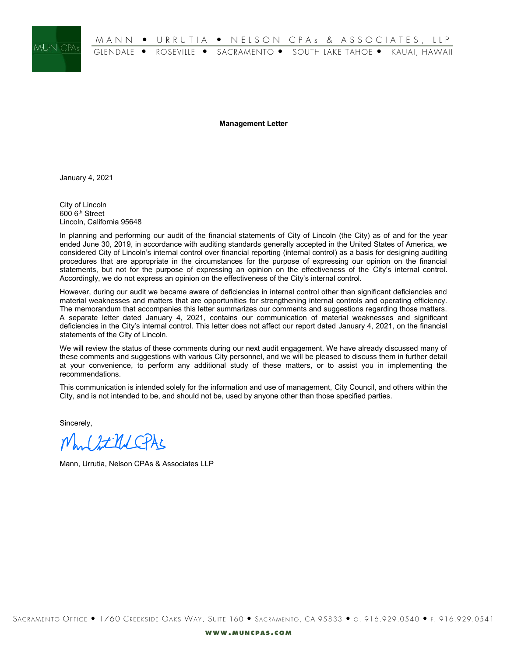

**Management Letter**

January 4, 2021

City of Lincoln 600 6th Street Lincoln, California 95648

In planning and performing our audit of the financial statements of City of Lincoln (the City) as of and for the year ended June 30, 2019, in accordance with auditing standards generally accepted in the United States of America, we considered City of Lincoln's internal control over financial reporting (internal control) as a basis for designing auditing procedures that are appropriate in the circumstances for the purpose of expressing our opinion on the financial statements, but not for the purpose of expressing an opinion on the effectiveness of the City's internal control. Accordingly, we do not express an opinion on the effectiveness of the City's internal control.

However, during our audit we became aware of deficiencies in internal control other than significant deficiencies and material weaknesses and matters that are opportunities for strengthening internal controls and operating efficiency. The memorandum that accompanies this letter summarizes our comments and suggestions regarding those matters. A separate letter dated January 4, 2021, contains our communication of material weaknesses and significant deficiencies in the City's internal control. This letter does not affect our report dated January 4, 2021, on the financial statements of the City of Lincoln.

We will review the status of these comments during our next audit engagement. We have already discussed many of these comments and suggestions with various City personnel, and we will be pleased to discuss them in further detail at your convenience, to perform any additional study of these matters, or to assist you in implementing the recommendations.

This communication is intended solely for the information and use of management, City Council, and others within the City, and is not intended to be, and should not be, used by anyone other than those specified parties.

Sincerely,

Mond St Und CPAL

Mann, Urrutia, Nelson CPAs & Associates LLP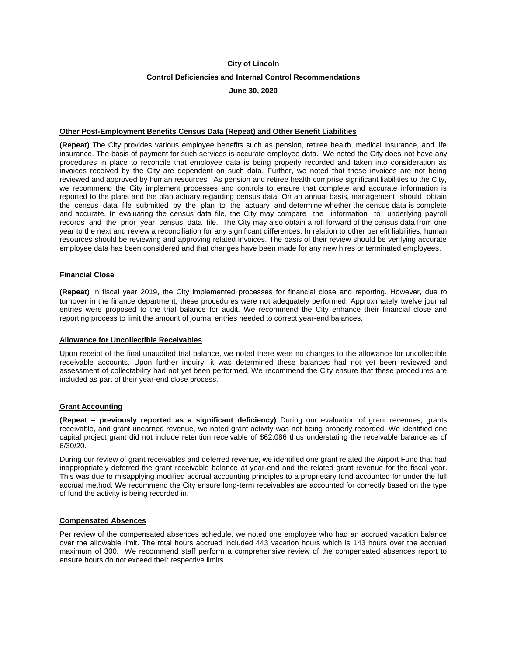# **City of Lincoln Control Deficiencies and Internal Control Recommendations**

## **June 30, 2020**

## **Other Post-Employment Benefits Census Data (Repeat) and Other Benefit Liabilities**

**(Repeat)** The City provides various employee benefits such as pension, retiree health, medical insurance, and life insurance. The basis of payment for such services is accurate employee data. We noted the City does not have any procedures in place to reconcile that employee data is being properly recorded and taken into consideration as invoices received by the City are dependent on such data. Further, we noted that these invoices are not being reviewed and approved by human resources. As pension and retiree health comprise significant liabilities to the City, we recommend the City implement processes and controls to ensure that complete and accurate information is reported to the plans and the plan actuary regarding census data. On an annual basis, management should obtain the census data file submitted by the plan to the actuary and determine whether the census data is complete and accurate. In evaluating the census data file, the City may compare the information to underlying payroll records and the prior year census data file. The City may also obtain a roll forward of the census data from one year to the next and review a reconciliation for any significant differences. In relation to other benefit liabilities, human resources should be reviewing and approving related invoices. The basis of their review should be verifying accurate employee data has been considered and that changes have been made for any new hires or terminated employees.

## **Financial Close**

**(Repeat)** In fiscal year 2019, the City implemented processes for financial close and reporting. However, due to turnover in the finance department, these procedures were not adequately performed. Approximately twelve journal entries were proposed to the trial balance for audit. We recommend the City enhance their financial close and reporting process to limit the amount of journal entries needed to correct year-end balances.

## **Allowance for Uncollectible Receivables**

Upon receipt of the final unaudited trial balance, we noted there were no changes to the allowance for uncollectible receivable accounts. Upon further inquiry, it was determined these balances had not yet been reviewed and assessment of collectability had not yet been performed. We recommend the City ensure that these procedures are included as part of their year-end close process.

## **Grant Accounting**

**(Repeat – previously reported as a significant deficiency)** During our evaluation of grant revenues, grants receivable, and grant unearned revenue, we noted grant activity was not being properly recorded. We identified one capital project grant did not include retention receivable of \$62,086 thus understating the receivable balance as of 6/30/20.

During our review of grant receivables and deferred revenue, we identified one grant related the Airport Fund that had inappropriately deferred the grant receivable balance at year-end and the related grant revenue for the fiscal year. This was due to misapplying modified accrual accounting principles to a proprietary fund accounted for under the full accrual method. We recommend the City ensure long-term receivables are accounted for correctly based on the type of fund the activity is being recorded in.

## **Compensated Absences**

Per review of the compensated absences schedule, we noted one employee who had an accrued vacation balance over the allowable limit. The total hours accrued included 443 vacation hours which is 143 hours over the accrued maximum of 300. We recommend staff perform a comprehensive review of the compensated absences report to ensure hours do not exceed their respective limits.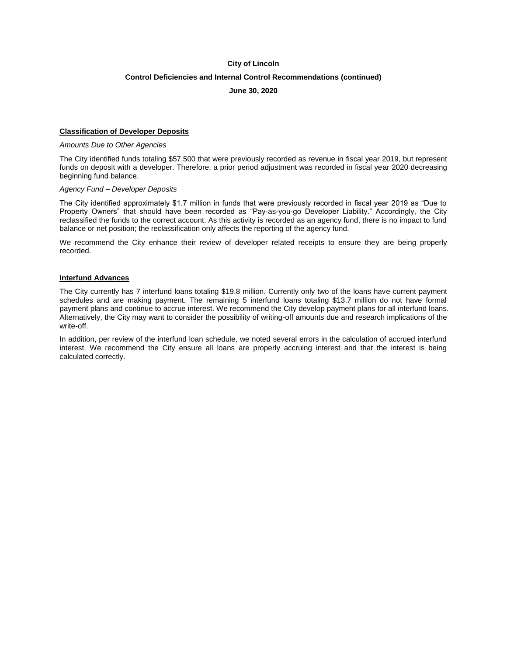# **Control Deficiencies and Internal Control Recommendations (continued)**

## **June 30, 2020**

## **Classification of Developer Deposits**

## *Amounts Due to Other Agencies*

The City identified funds totaling \$57,500 that were previously recorded as revenue in fiscal year 2019, but represent funds on deposit with a developer. Therefore, a prior period adjustment was recorded in fiscal year 2020 decreasing beginning fund balance.

#### *Agency Fund – Developer Deposits*

The City identified approximately \$1.7 million in funds that were previously recorded in fiscal year 2019 as "Due to Property Owners" that should have been recorded as "Pay-as-you-go Developer Liability." Accordingly, the City reclassified the funds to the correct account. As this activity is recorded as an agency fund, there is no impact to fund balance or net position; the reclassification only affects the reporting of the agency fund.

We recommend the City enhance their review of developer related receipts to ensure they are being properly recorded.

#### **Interfund Advances**

The City currently has 7 interfund loans totaling \$19.8 million. Currently only two of the loans have current payment schedules and are making payment. The remaining 5 interfund loans totaling \$13.7 million do not have formal payment plans and continue to accrue interest. We recommend the City develop payment plans for all interfund loans. Alternatively, the City may want to consider the possibility of writing-off amounts due and research implications of the write-off.

In addition, per review of the interfund loan schedule, we noted several errors in the calculation of accrued interfund interest. We recommend the City ensure all loans are properly accruing interest and that the interest is being calculated correctly.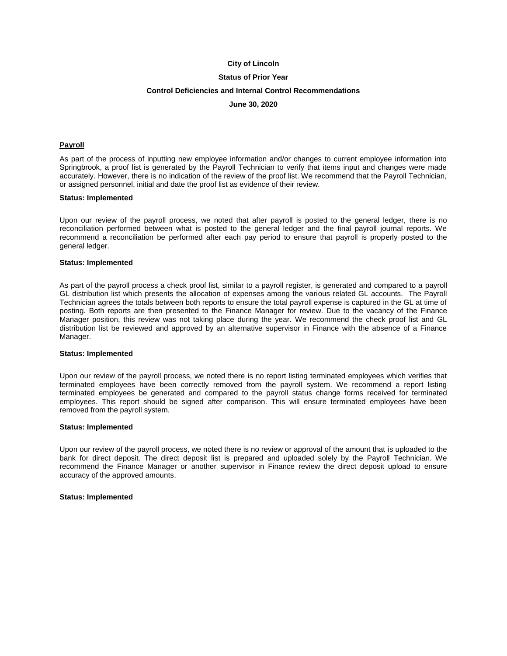## **Status of Prior Year**

## **Control Deficiencies and Internal Control Recommendations**

#### **June 30, 2020**

## **Payroll**

As part of the process of inputting new employee information and/or changes to current employee information into Springbrook, a proof list is generated by the Payroll Technician to verify that items input and changes were made accurately. However, there is no indication of the review of the proof list. We recommend that the Payroll Technician, or assigned personnel, initial and date the proof list as evidence of their review.

#### **Status: Implemented**

Upon our review of the payroll process, we noted that after payroll is posted to the general ledger, there is no reconciliation performed between what is posted to the general ledger and the final payroll journal reports. We recommend a reconciliation be performed after each pay period to ensure that payroll is properly posted to the general ledger.

#### **Status: Implemented**

As part of the payroll process a check proof list, similar to a payroll register, is generated and compared to a payroll GL distribution list which presents the allocation of expenses among the various related GL accounts. The Payroll Technician agrees the totals between both reports to ensure the total payroll expense is captured in the GL at time of posting. Both reports are then presented to the Finance Manager for review. Due to the vacancy of the Finance Manager position, this review was not taking place during the year. We recommend the check proof list and GL distribution list be reviewed and approved by an alternative supervisor in Finance with the absence of a Finance Manager.

#### **Status: Implemented**

Upon our review of the payroll process, we noted there is no report listing terminated employees which verifies that terminated employees have been correctly removed from the payroll system. We recommend a report listing terminated employees be generated and compared to the payroll status change forms received for terminated employees. This report should be signed after comparison. This will ensure terminated employees have been removed from the payroll system.

#### **Status: Implemented**

Upon our review of the payroll process, we noted there is no review or approval of the amount that is uploaded to the bank for direct deposit. The direct deposit list is prepared and uploaded solely by the Payroll Technician. We recommend the Finance Manager or another supervisor in Finance review the direct deposit upload to ensure accuracy of the approved amounts.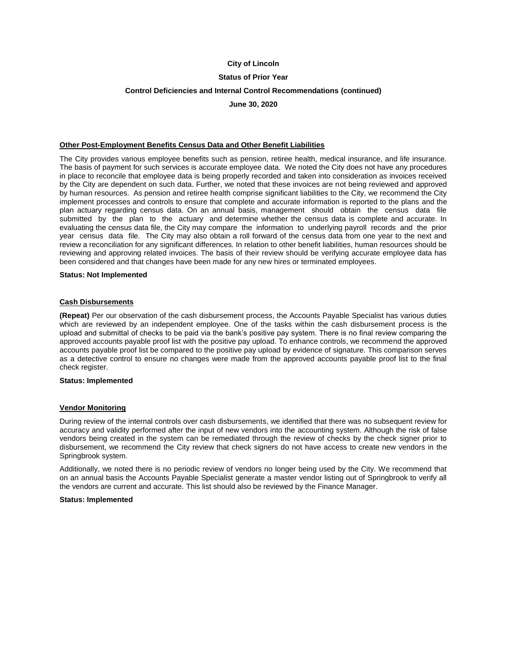## **Status of Prior Year**

# **Control Deficiencies and Internal Control Recommendations (continued)**

**June 30, 2020**

#### **Other Post-Employment Benefits Census Data and Other Benefit Liabilities**

The City provides various employee benefits such as pension, retiree health, medical insurance, and life insurance. The basis of payment for such services is accurate employee data. We noted the City does not have any procedures in place to reconcile that employee data is being properly recorded and taken into consideration as invoices received by the City are dependent on such data. Further, we noted that these invoices are not being reviewed and approved by human resources. As pension and retiree health comprise significant liabilities to the City, we recommend the City implement processes and controls to ensure that complete and accurate information is reported to the plans and the plan actuary regarding census data. On an annual basis, management should obtain the census data file submitted by the plan to the actuary and determine whether the census data is complete and accurate. In evaluating the census data file, the City may compare the information to underlying payroll records and the prior year census data file. The City may also obtain a roll forward of the census data from one year to the next and review a reconciliation for any significant differences. In relation to other benefit liabilities, human resources should be reviewing and approving related invoices. The basis of their review should be verifying accurate employee data has been considered and that changes have been made for any new hires or terminated employees.

# **Status: Not Implemented**

#### **Cash Disbursements**

**(Repeat)** Per our observation of the cash disbursement process, the Accounts Payable Specialist has various duties which are reviewed by an independent employee. One of the tasks within the cash disbursement process is the upload and submittal of checks to be paid via the bank's positive pay system. There is no final review comparing the approved accounts payable proof list with the positive pay upload. To enhance controls, we recommend the approved accounts payable proof list be compared to the positive pay upload by evidence of signature. This comparison serves as a detective control to ensure no changes were made from the approved accounts payable proof list to the final check register.

## **Status: Implemented**

#### **Vendor Monitoring**

During review of the internal controls over cash disbursements, we identified that there was no subsequent review for accuracy and validity performed after the input of new vendors into the accounting system. Although the risk of false vendors being created in the system can be remediated through the review of checks by the check signer prior to disbursement, we recommend the City review that check signers do not have access to create new vendors in the Springbrook system.

Additionally, we noted there is no periodic review of vendors no longer being used by the City. We recommend that on an annual basis the Accounts Payable Specialist generate a master vendor listing out of Springbrook to verify all the vendors are current and accurate. This list should also be reviewed by the Finance Manager.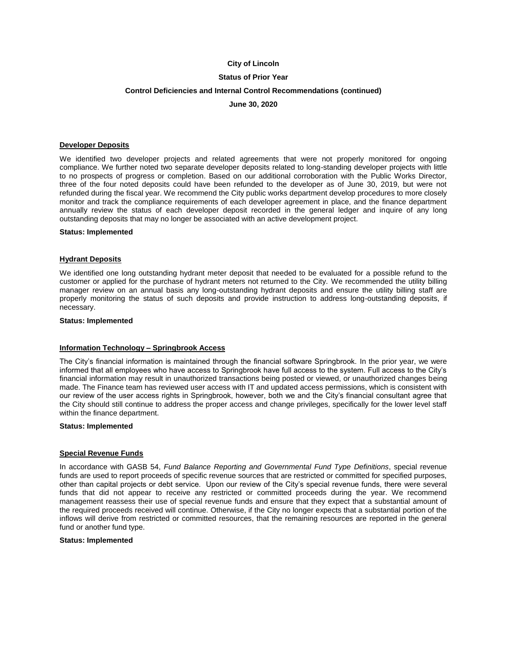## **Status of Prior Year**

## **Control Deficiencies and Internal Control Recommendations (continued)**

**June 30, 2020**

## **Developer Deposits**

We identified two developer projects and related agreements that were not properly monitored for ongoing compliance. We further noted two separate developer deposits related to long-standing developer projects with little to no prospects of progress or completion. Based on our additional corroboration with the Public Works Director, three of the four noted deposits could have been refunded to the developer as of June 30, 2019, but were not refunded during the fiscal year. We recommend the City public works department develop procedures to more closely monitor and track the compliance requirements of each developer agreement in place, and the finance department annually review the status of each developer deposit recorded in the general ledger and inquire of any long outstanding deposits that may no longer be associated with an active development project.

#### **Status: Implemented**

#### **Hydrant Deposits**

We identified one long outstanding hydrant meter deposit that needed to be evaluated for a possible refund to the customer or applied for the purchase of hydrant meters not returned to the City. We recommended the utility billing manager review on an annual basis any long-outstanding hydrant deposits and ensure the utility billing staff are properly monitoring the status of such deposits and provide instruction to address long-outstanding deposits, if necessary.

#### **Status: Implemented**

#### **Information Technology – Springbrook Access**

The City's financial information is maintained through the financial software Springbrook. In the prior year, we were informed that all employees who have access to Springbrook have full access to the system. Full access to the City's financial information may result in unauthorized transactions being posted or viewed, or unauthorized changes being made. The Finance team has reviewed user access with IT and updated access permissions, which is consistent with our review of the user access rights in Springbrook, however, both we and the City's financial consultant agree that the City should still continue to address the proper access and change privileges, specifically for the lower level staff within the finance department.

#### **Status: Implemented**

#### **Special Revenue Funds**

In accordance with GASB 54, *Fund Balance Reporting and Governmental Fund Type Definitions*, special revenue funds are used to report proceeds of specific revenue sources that are restricted or committed for specified purposes, other than capital projects or debt service. Upon our review of the City's special revenue funds, there were several funds that did not appear to receive any restricted or committed proceeds during the year. We recommend management reassess their use of special revenue funds and ensure that they expect that a substantial amount of the required proceeds received will continue. Otherwise, if the City no longer expects that a substantial portion of the inflows will derive from restricted or committed resources, that the remaining resources are reported in the general fund or another fund type.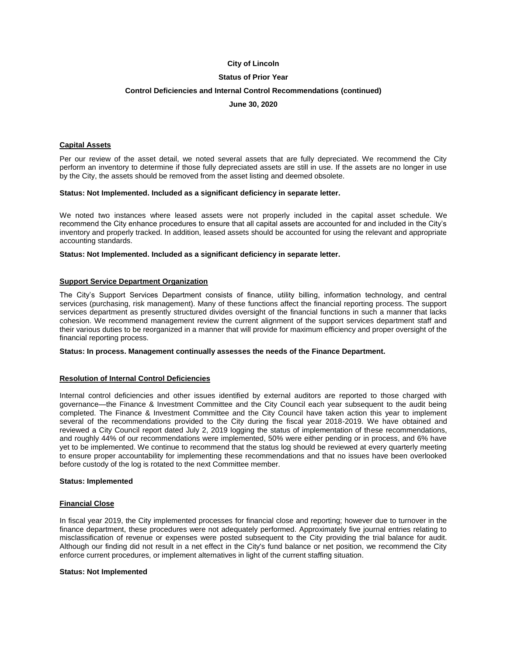## **Status of Prior Year**

## **Control Deficiencies and Internal Control Recommendations (continued)**

**June 30, 2020**

#### **Capital Assets**

Per our review of the asset detail, we noted several assets that are fully depreciated. We recommend the City perform an inventory to determine if those fully depreciated assets are still in use. If the assets are no longer in use by the City, the assets should be removed from the asset listing and deemed obsolete.

#### **Status: Not Implemented. Included as a significant deficiency in separate letter.**

We noted two instances where leased assets were not properly included in the capital asset schedule. We recommend the City enhance procedures to ensure that all capital assets are accounted for and included in the City's inventory and properly tracked. In addition, leased assets should be accounted for using the relevant and appropriate accounting standards.

#### **Status: Not Implemented. Included as a significant deficiency in separate letter.**

#### **Support Service Department Organization**

The City's Support Services Department consists of finance, utility billing, information technology, and central services (purchasing, risk management). Many of these functions affect the financial reporting process. The support services department as presently structured divides oversight of the financial functions in such a manner that lacks cohesion. We recommend management review the current alignment of the support services department staff and their various duties to be reorganized in a manner that will provide for maximum efficiency and proper oversight of the financial reporting process.

#### **Status: In process. Management continually assesses the needs of the Finance Department.**

## **Resolution of Internal Control Deficiencies**

Internal control deficiencies and other issues identified by external auditors are reported to those charged with governance—the Finance & Investment Committee and the City Council each year subsequent to the audit being completed. The Finance & Investment Committee and the City Council have taken action this year to implement several of the recommendations provided to the City during the fiscal year 2018-2019. We have obtained and reviewed a City Council report dated July 2, 2019 logging the status of implementation of these recommendations, and roughly 44% of our recommendations were implemented, 50% were either pending or in process, and 6% have yet to be implemented. We continue to recommend that the status log should be reviewed at every quarterly meeting to ensure proper accountability for implementing these recommendations and that no issues have been overlooked before custody of the log is rotated to the next Committee member.

#### **Status: Implemented**

#### **Financial Close**

In fiscal year 2019, the City implemented processes for financial close and reporting; however due to turnover in the finance department, these procedures were not adequately performed. Approximately five journal entries relating to misclassification of revenue or expenses were posted subsequent to the City providing the trial balance for audit. Although our finding did not result in a net effect in the City's fund balance or net position, we recommend the City enforce current procedures, or implement alternatives in light of the current staffing situation.